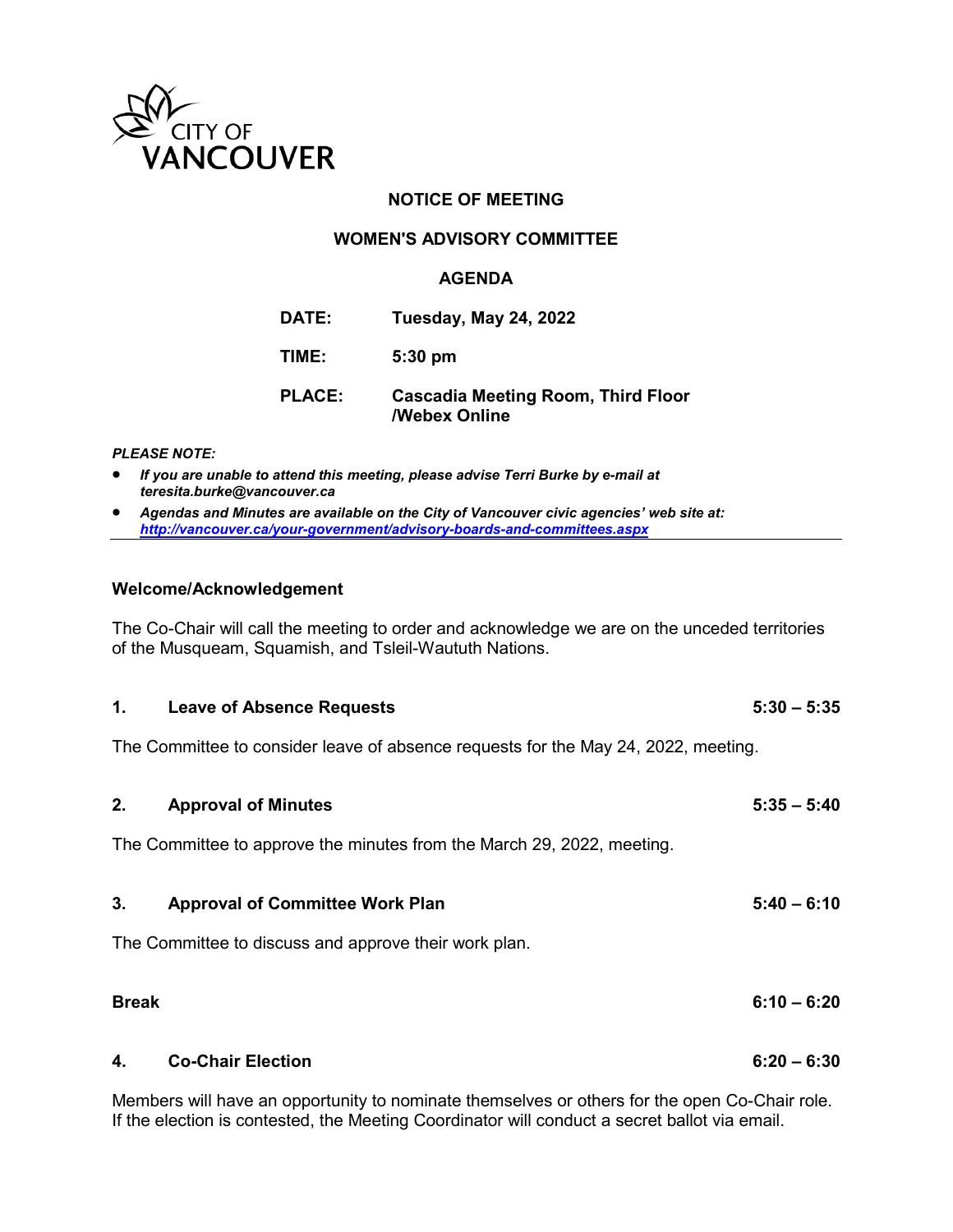

## **NOTICE OF MEETING**

### **WOMEN'S ADVISORY COMMITTEE**

#### **AGENDA**

| DATE: | <b>Tuesday, May 24, 2022</b> |  |  |
|-------|------------------------------|--|--|
|-------|------------------------------|--|--|

**TIME: 5:30 pm**

# **PLACE: Cascadia Meeting Room, Third Floor /Webex Online**

#### *PLEASE NOTE:*

- *If you are unable to attend this meeting, please advise Terri Burke by e-mail at teresita.burke@vancouver.ca*
- *Agendas and Minutes are available on the City of Vancouver civic agencies' web site at: <http://vancouver.ca/your-government/advisory-boards-and-committees.aspx>*

#### **Welcome/Acknowledgement**

The Co-Chair will call the meeting to order and acknowledge we are on the unceded territories of the Musqueam, Squamish, and Tsleil-Waututh Nations.

| 1.           | <b>Leave of Absence Requests</b>                                                   | $5:30 - 5:35$ |
|--------------|------------------------------------------------------------------------------------|---------------|
|              | The Committee to consider leave of absence requests for the May 24, 2022, meeting. |               |
| 2.           | <b>Approval of Minutes</b>                                                         | $5:35 - 5:40$ |
|              | The Committee to approve the minutes from the March 29, 2022, meeting.             |               |
| 3.           | <b>Approval of Committee Work Plan</b>                                             | $5:40 - 6:10$ |
|              | The Committee to discuss and approve their work plan.                              |               |
| <b>Break</b> |                                                                                    | $6:10 - 6:20$ |
| 4.           | <b>Co-Chair Election</b>                                                           | $6:20 - 6:30$ |
|              |                                                                                    |               |

Members will have an opportunity to nominate themselves or others for the open Co-Chair role. If the election is contested, the Meeting Coordinator will conduct a secret ballot via email.